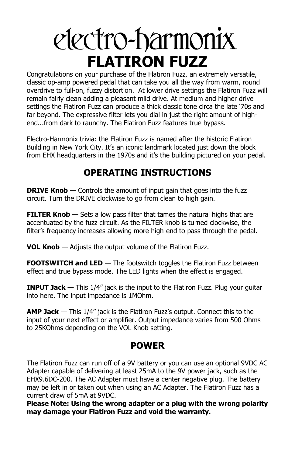# electro-harmonix **FLATIRON FUZZ**

Congratulations on your purchase of the Flatiron Fuzz, an extremely versatile, classic op-amp powered pedal that can take you all the way from warm, round overdrive to full-on, fuzzy distortion. At lower drive settings the Flatiron Fuzz will remain fairly clean adding a pleasant mild drive. At medium and higher drive settings the Flatiron Fuzz can produce a thick classic tone circa the late '70s and far beyond. The expressive filter lets you dial in just the right amount of highend...from dark to raunchy. The Flatiron Fuzz features true bypass.

Electro-Harmonix trivia: the Flatiron Fuzz is named after the historic Flatiron Building in New York City. It's an iconic landmark located just down the block from EHX headquarters in the 1970s and it's the building pictured on your pedal.

# **OPERATING INSTRUCTIONS**

**DRIVE Knob** — Controls the amount of input gain that goes into the fuzz circuit. Turn the DRIVE clockwise to go from clean to high gain.

**FILTER Knob** — Sets a low pass filter that tames the natural highs that are accentuated by the fuzz circuit. As the FILTER knob is turned clockwise, the filter's frequency increases allowing more high-end to pass through the pedal.

**VOL Knob** — Adjusts the output volume of the Flatiron Fuzz.

**FOOTSWITCH and LED** — The footswitch toggles the Flatiron Fuzz between effect and true bypass mode. The LED lights when the effect is engaged.

**INPUT Jack** — This 1/4" jack is the input to the Flatiron Fuzz. Plug your guitar into here. The input impedance is 1MOhm.

**AMP Jack** — This 1/4" jack is the Flatiron Fuzz's output. Connect this to the input of your next effect or amplifier. Output impedance varies from 500 Ohms to 25KOhms depending on the VOL Knob setting.

# **POWER**

The Flatiron Fuzz can run off of a 9V battery or you can use an optional 9VDC AC Adapter capable of delivering at least 25mA to the 9V power jack, such as the EHX9.6DC-200. The AC Adapter must have a center negative plug. The battery may be left in or taken out when using an AC Adapter. The Flatiron Fuzz has a current draw of 5mA at 9VDC.

**Please Note: Using the wrong adapter or a plug with the wrong polarity may damage your Flatiron Fuzz and void the warranty.**